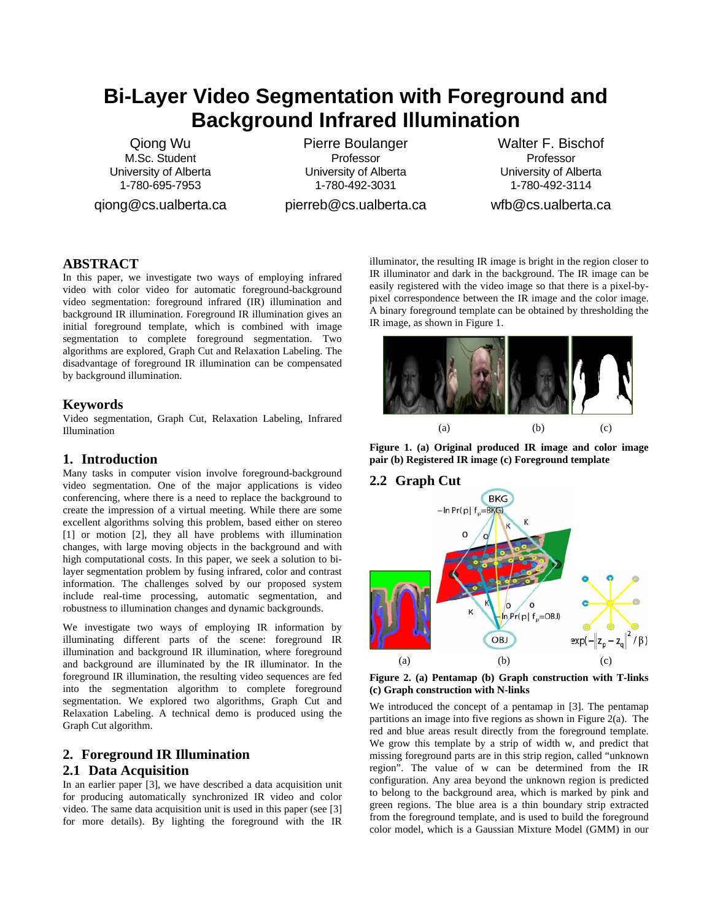# **Bi-Layer Video Segmentation with Foreground and Background Infrared Illumination**

Qiong Wu M.Sc. Student University of Alberta 1-780-695-7953

qiong@cs.ualberta.ca

Pierre Boulanger Professor University of Alberta 1-780-492-3031

pierreb@cs.ualberta.ca

Walter F. Bischof Professor University of Alberta 1-780-492-3114

wfb@cs.ualberta.ca

# **ABSTRACT**

In this paper, we investigate two ways of employing infrared video with color video for automatic foreground-background video segmentation: foreground infrared (IR) illumination and background IR illumination. Foreground IR illumination gives an initial foreground template, which is combined with image segmentation to complete foreground segmentation. Two algorithms are explored, Graph Cut and Relaxation Labeling. The disadvantage of foreground IR illumination can be compensated by background illumination.

# **Keywords**

Video segmentation, Graph Cut, Relaxation Labeling, Infrared Illumination

## **1. Introduction**

Many tasks in computer vision involve foreground-background video segmentation. One of the major applications is video conferencing, where there is a need to replace the background to create the impression of a virtual meeting. While there are some excellent algorithms solving this problem, based either on stereo [1] or motion [2], they all have problems with illumination changes, with large moving objects in the background and with high computational costs. In this paper, we seek a solution to bilayer segmentation problem by fusing infrared, color and contrast information. The challenges solved by our proposed system include real-time processing, automatic segmentation, and robustness to illumination changes and dynamic backgrounds.

We investigate two ways of employing IR information by illuminating different parts of the scene: foreground IR illumination and background IR illumination, where foreground and background are illuminated by the IR illuminator. In the foreground IR illumination, the resulting video sequences are fed into the segmentation algorithm to complete foreground segmentation. We explored two algorithms, Graph Cut and Relaxation Labeling. A technical demo is produced using the Graph Cut algorithm.

# **2. Foreground IR Illumination**

# **2.1 Data Acquisition**

In an earlier paper [3], we have described a data acquisition unit for producing automatically synchronized IR video and color video. The same data acquisition unit is used in this paper (see [3] for more details). By lighting the foreground with the IR illuminator, the resulting IR image is bright in the region closer to IR illuminator and dark in the background. The IR image can be easily registered with the video image so that there is a pixel-bypixel correspondence between the IR image and the color image. A binary foreground template can be obtained by thresholding the IR image, as shown in Figure 1.



**Figure 1. (a) Original produced IR image and color image pair (b) Registered IR image (c) Foreground template** 

# **2.2 Graph Cut**



**Figure 2. (a) Pentamap (b) Graph construction with T-links (c) Graph construction with N-links**

We introduced the concept of a pentamap in [3]. The pentamap partitions an image into five regions as shown in Figure 2(a). The red and blue areas result directly from the foreground template. We grow this template by a strip of width w, and predict that missing foreground parts are in this strip region, called "unknown region". The value of w can be determined from the IR configuration. Any area beyond the unknown region is predicted to belong to the background area, which is marked by pink and green regions. The blue area is a thin boundary strip extracted from the foreground template, and is used to build the foreground color model, which is a Gaussian Mixture Model (GMM) in our